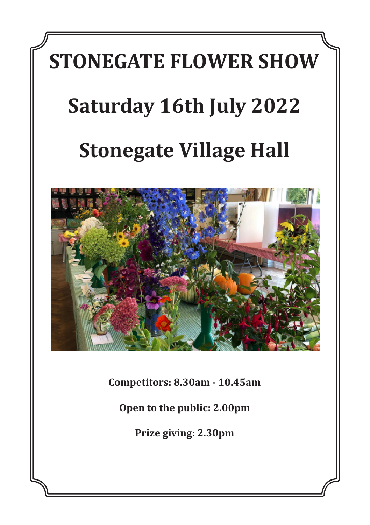# **STONEGATE FLOWER SHOW Saturday 16th July 2022 Stonegate Village Hall**



**Competitors: 8.30am - 10.45am**

**Open to the public: 2.00pm**

**Prize giving: 2.30pm**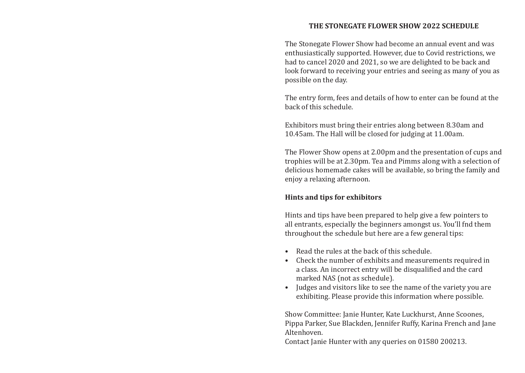#### **THE STONEGATE FLOWER SHOW 2022 SCHEDULE**

The Stonegate Flower Show had become an annual event and was enthusiastically supported. However, due to Covid restrictions, we had to cancel 2020 and 2021, so we are delighted to be back and look forward to receiving your entries and seeing as many of you as possible on the day.

The entry form, fees and details of how to enter can be found at the back of this schedule.

Exhibitors must bring their entries along between 8.30am and 10.45am. The Hall will be closed for judging at 11.00am.

The Flower Show opens at 2.00pm and the presentation of cups and trophies will be at 2.30pm. Tea and Pimms along with a selection of delicious homemade cakes will be available, so bring the family and enjoy a relaxing afternoon.

#### **Hints and tips for exhibitors**

Hints and tips have been prepared to help give a few pointers to all entrants, especially the beginners amongst us. You'll fnd them throughout the schedule but here are a few general tips:

- • Read the rules at the back of this schedule.
- Check the number of exhibits and measurements required in a class. An incorrect entry will be disqualified and the card marked NAS (not as schedule).
- Judges and visitors like to see the name of the variety you are exhibiting. Please provide this information where possible.

Show Committee: Janie Hunter, Kate Luckhurst, Anne Scoones, Pippa Parker, Sue Blackden, Jennifer Ruffy, Karina French and Jane Altenhoven.

Contact Janie Hunter with any queries on 01580 200213.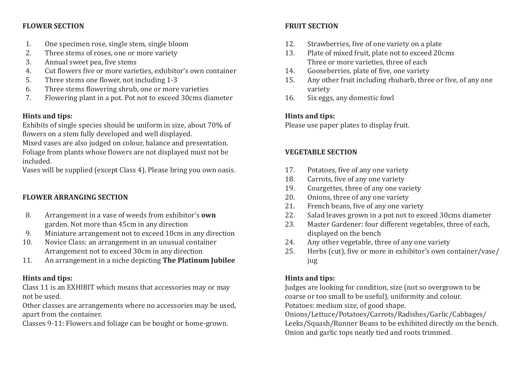#### **FLOWER SECTION**

- 1. One specimen rose, single stem, single bloom<br>2. Three stems of roses, one or more variety
- 2. Three stems of roses, one or more variety<br>3. Annual sweet nea, five stems
- 3. Annual sweet pea, five stems<br>4. Cut flowers five or more varies
- 4. Cut flowers five or more varieties, exhibitor's own container<br>5. Three stems one flower, not including 1-3
- 5. Three stems one flower, not including 1-3<br>6. Three stems flowering shrub, one or more
- 6. Three stems flowering shrub, one or more varieties<br>7. Flowering plant in a pot. Pot not to exceed 30cms di
- 7. Flowering plant in a pot. Pot not to exceed 30cms diameter

#### **Hints and tips:**

Exhibits of single species should be uniform in size, about 70% of flowers on a stem fully developed and well displayed.

Mixed vases are also judged on colour, balance and presentation. Foliage from plants whose flowers are not displayed must not be included.

Vases will be supplied (except Class 4). Please bring you own oasis.

## **FLOWER ARRANGING SECTION**

- 8. Arrangement in a vase of weeds from exhibitor's **own** garden. Not more than 45cm in any direction
- 9. Miniature arrangement not to exceed 10cm in any direction<br>10. Novice Class: an arrangement in an unusual container
- 10. Novice Class: an arrangement in an unusual container Arrangement not to exceed 30cm in any direction
- 11. An arrangement in a niche depicting **The Platinum Jubilee**

## **Hints and tips:**

Class 11 is an EXHIBIT which means that accessories may or may not be used.

Other classes are arrangements where no accessories may be used, apart from the container.

Classes 9-11: Flowers and foliage can be bought or home-grown.

## **FRUIT SECTION**

- 12. Strawberries, five of one variety on a plate<br>13. Plate of mixed fruit, plate not to exceed 20
- Plate of mixed fruit, plate not to exceed 20cms Three or more varieties, three of each
- 14. Gooseberries, plate of five, one variety<br>15. Any other fruit including rhubarb, thre
- Any other fruit including rhubarb, three or five, of any one variety
- 16. Six eggs, any domestic fowl

## **Hints and tips:**

Please use paper plates to display fruit.

## **VEGETABLE SECTION**

- 17. Potatoes, five of any one variety<br>18. Carrots, five of any one variety
- 18. Carrots, five of any one variety<br>19. Courgettes, three of any one va
- 19. Courgettes, three of any one variety<br>20. Onions, three of any one variety
- 20. Onions, three of any one variety<br>21. French beans, five of any one vari
- 21. French beans, five of any one variety<br>22. Salad leaves grown in a pot not to exc
- 22. Salad leaves grown in a pot not to exceed 30cms diameter<br>23. Master Gardener: four different vegetables, three of each.
- Master Gardener: four different vegetables, three of each, displayed on the bench
- 24. Any other vegetable, three of any one variety<br>25. Herbs (cut), five or more in exhibitor's own co
- Herbs (cut), five or more in exhibitor's own container/vase/ jug

# **Hints and tips:**

Judges are looking for condition, size (not so overgrown to be coarse or too small to be useful), uniformity and colour. Potatoes: medium size, of good shape.

Onions/Lettuce/Potatoes/Carrots/Radishes/Garlic/Cabbages/ Leeks/Squash/Runner Beans to be exhibited directly on the bench. Onion and garlic tops neatly tied and roots trimmed.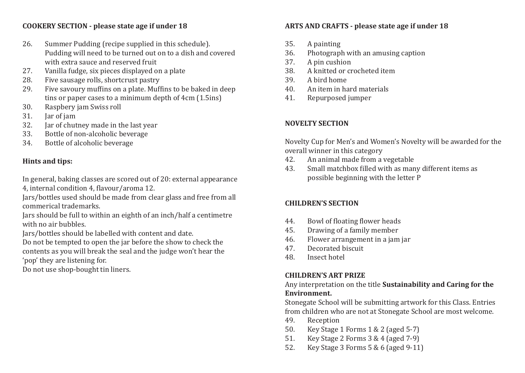#### **COOKERY SECTION - please state age if under 18**

- 26. Summer Pudding (recipe supplied in this schedule). Pudding will need to be turned out on to a dish and covered with extra sauce and reserved fruit
- 27. Vanilla fudge, six pieces displayed on a plate<br>28. Five sausage rolls, shortcrust pastry
- 28. Five sausage rolls, shortcrust pastry<br>29. Five savoury muffins on a plate. Muf
- Five savoury muffins on a plate. Muffins to be baked in deep tins or paper cases to a minimum depth of 4cm (1.5ins)
- 30. Raspbery jam Swiss roll<br>31. Iar of jam
- 31. Jar of jam<br>32. Jar of chut
- 32. Jar of chutney made in the last year<br>33. Bottle of non-alcoholic beverage
- 33. Bottle of non-alcoholic beverage<br>34. Bottle of alcoholic beverage
- Bottle of alcoholic beverage

## **Hints and tips:**

In general, baking classes are scored out of 20: external appearance 4, internal condition 4, flavour/aroma 12.

Jars/bottles used should be made from clear glass and free from all commerical trademarks.

Jars should be full to within an eighth of an inch/half a centimetre with no air bubbles.

Jars/bottles should be labelled with content and date.

Do not be tempted to open the jar before the show to check the contents as you will break the seal and the judge won't hear the 'pop' they are listening for.

Do not use shop-bought tin liners.

# **ARTS AND CRAFTS - please state age if under 18**

- 35. A painting
- 36. Photograph with an amusing caption<br>37 A pin cushion
- 37. A pin cushion<br>38. A knitted or cr
- 38. A knitted or crocheted item<br>39. A bird home
- 39. A bird home<br>40. An item in ha
- 40. An item in hard materials<br>41. Renurnosed jumper
- Repurposed jumper

#### **NOVELTY SECTION**

Novelty Cup for Men's and Women's Novelty will be awarded for the overall winner in this category<br>42. An animal made from a

- 42. An animal made from a vegetable<br>43. Small matchbox filled with as mar
- Small matchbox filled with as many different items as possible beginning with the letter P

## **CHILDREN'S SECTION**

- 44. Bowl of floating flower heads<br>45. Drawing of a family member
- 45. Drawing of a family member<br>46. Flower arrangement in a jam
- 46. Flower arrangement in a jam jar<br>47. Decorated biscuit
- 47. Decorated biscuit<br>48 Insect hotel
- Insect hotel

## **CHILDREN'S ART PRIZE**

Any interpretation on the title **Sustainability and Caring for the Environment.**

Stonegate School will be submitting artwork for this Class. Entries from children who are not at Stonegate School are most welcome.<br>49. Reception

- 49. Reception<br>50. Kev Stage
- 50. Key Stage 1 Forms 1 & 2 (aged 5-7)<br>51. Key Stage 2 Forms 3 & 4 (aged 7-9)
- 51. Key Stage 2 Forms 3 & 4 (aged 7-9)<br>52. Key Stage 3 Forms 5 & 6 (aged 9-11
- Key Stage 3 Forms  $5 & 6$  (aged 9-11)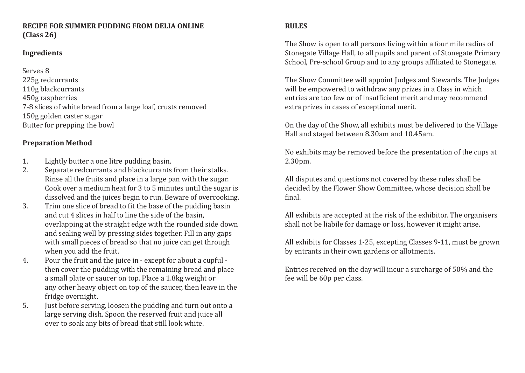#### **RECIPE FOR SUMMER PUDDING FROM DELIA ONLINE (Class 26)**

#### **Ingredients**

Serves 8 225g redcurrants 110g blackcurrants 450g raspberries 7-8 slices of white bread from a large loaf, crusts removed 150g golden caster sugar Butter for prepping the bowl

#### **Preparation Method**

- 1. Lightly butter a one litre pudding basin.<br>2. Separate redcurrants and blackcurrants
- Separate redcurrants and blackcurrants from their stalks. Rinse all the fruits and place in a large pan with the sugar. Cook over a medium heat for 3 to 5 minutes until the sugar is dissolved and the juices begin to run. Beware of overcooking.
- 3. Trim one slice of bread to fit the base of the pudding basin and cut 4 slices in half to line the side of the basin, overlapping at the straight edge with the rounded side down and sealing well by pressing sides together. Fill in any gaps with small pieces of bread so that no juice can get through when you add the fruit.
- 4. Pour the fruit and the juice in except for about a cupful then cover the pudding with the remaining bread and place a small plate or saucer on top. Place a 1.8kg weight or any other heavy object on top of the saucer, then leave in the fridge overnight.
- 5. Just before serving, loosen the pudding and turn out onto a large serving dish. Spoon the reserved fruit and juice all over to soak any bits of bread that still look white.

#### **RULES**

The Show is open to all persons living within a four mile radius of Stonegate Village Hall, to all pupils and parent of Stonegate Primary School, Pre-school Group and to any groups affiliated to Stonegate.

The Show Committee will appoint Judges and Stewards. The Judges will be empowered to withdraw any prizes in a Class in which entries are too few or of insufficient merit and may recommend extra prizes in cases of exceptional merit.

On the day of the Show, all exhibits must be delivered to the Village Hall and staged between 8.30am and 10.45am.

No exhibits may be removed before the presentation of the cups at 2.30pm.

All disputes and questions not covered by these rules shall be decided by the Flower Show Committee, whose decision shall be final.

All exhibits are accepted at the risk of the exhibitor. The organisers shall not be liabile for damage or loss, however it might arise.

All exhibits for Classes 1-25, excepting Classes 9-11, must be grown by entrants in their own gardens or allotments.

Entries received on the day will incur a surcharge of 50% and the fee will be 60p per class.